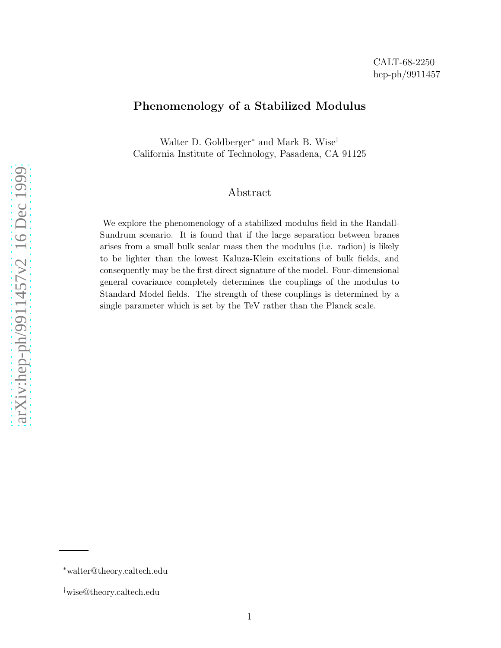## Phenomenology of a Stabilized Modulus

Walter D. Goldberger<sup>\*</sup> and Mark B. Wise<sup>†</sup> California Institute of Technology, Pasadena, CA 91125

## Abstract

We explore the phenomenology of a stabilized modulus field in the Randall-Sundrum scenario. It is found that if the large separation between branes arises from a small bulk scalar mass then the modulus (i.e. radion) is likely to be lighter than the lowest Kaluza-Klein excitations of bulk fields, and consequently may be the first direct signature of the model. Four-dimensional general covariance completely determines the couplings of the modulus to Standard Model fields. The strength of these couplings is determined by a single parameter which is set by the TeV rather than the Planck scale.

<sup>∗</sup>walter@theory.caltech.edu

<sup>†</sup>wise@theory.caltech.edu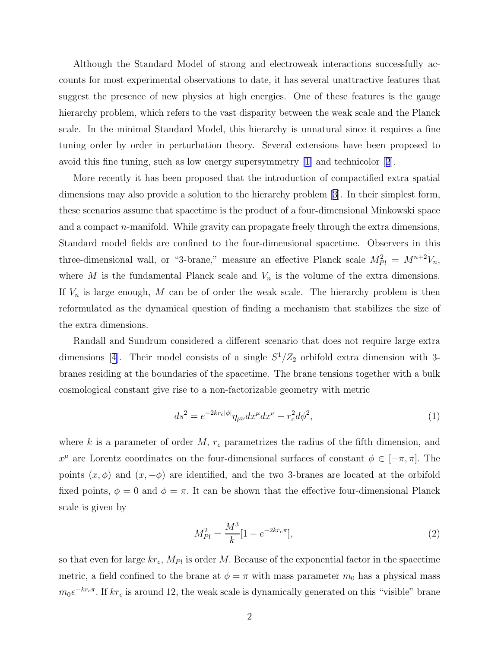<span id="page-1-0"></span>Although the Standard Model of strong and electroweak interactions successfully accounts for most experimental observations to date, it has several unattractive features that suggest the presence of new physics at high energies. One of these features is the gauge hierarchy problem, which refers to the vast disparity between the weak scale and the Planck scale. In the minimal Standard Model, this hierarchy is unnatural since it requires a fine tuning order by order in perturbation theory. Several extensions have been proposed to avoid this fine tuning, such as low energy supersymmetry [\[1](#page-8-0)] and technicolor[[2](#page-8-0)].

More recently it has been proposed that the introduction of compactified extra spatial dimensions may also provide a solution to the hierarchy problem[[3\]](#page-8-0). In their simplest form, these scenarios assume that spacetime is the product of a four-dimensional Minkowski space and a compact n-manifold. While gravity can propagate freely through the extra dimensions, Standard model fields are confined to the four-dimensional spacetime. Observers in this three-dimensional wall, or "3-brane," measure an effective Planck scale  $M_{Pl}^2 = M^{n+2}V_n$ , where M is the fundamental Planck scale and  $V_n$  is the volume of the extra dimensions. If  $V_n$  is large enough, M can be of order the weak scale. The hierarchy problem is then reformulated as the dynamical question of finding a mechanism that stabilizes the size of the extra dimensions.

Randall and Sundrum considered a different scenario that does not require large extra dimensions[[4](#page-8-0)]. Their model consists of a single  $S^1/Z_2$  orbifold extra dimension with 3branes residing at the boundaries of the spacetime. The brane tensions together with a bulk cosmological constant give rise to a non-factorizable geometry with metric

$$
ds^2 = e^{-2kr_c|\phi|} \eta_{\mu\nu} dx^{\mu} dx^{\nu} - r_c^2 d\phi^2,
$$
\n<sup>(1)</sup>

where k is a parameter of order  $M$ ,  $r_c$  parametrizes the radius of the fifth dimension, and  $x^{\mu}$  are Lorentz coordinates on the four-dimensional surfaces of constant  $\phi \in [-\pi, \pi]$ . The points  $(x, \phi)$  and  $(x, -\phi)$  are identified, and the two 3-branes are located at the orbifold fixed points,  $\phi = 0$  and  $\phi = \pi$ . It can be shown that the effective four-dimensional Planck scale is given by

$$
M_{Pl}^2 = \frac{M^3}{k} [1 - e^{-2kr_c \pi}], \tag{2}
$$

so that even for large  $kr_c$ ,  $M_{Pl}$  is order M. Because of the exponential factor in the spacetime metric, a field confined to the brane at  $\phi = \pi$  with mass parameter  $m_0$  has a physical mass  $m_0e^{-kr_c\pi}$ . If  $kr_c$  is around 12, the weak scale is dynamically generated on this "visible" brane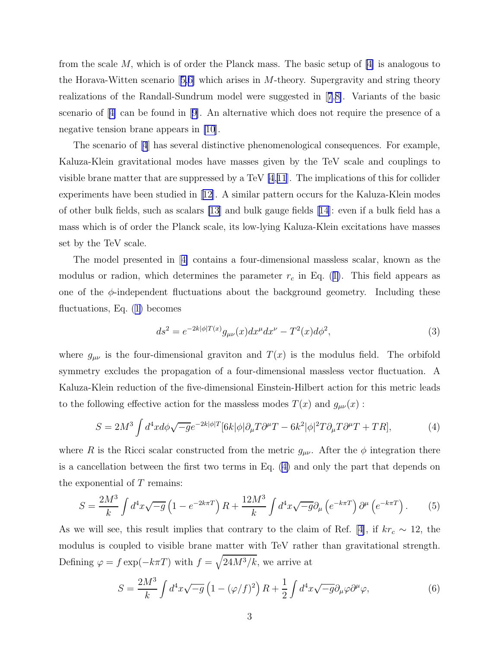<span id="page-2-0"></span>from the scale M, which is of order the Planck mass. The basic setup of [\[4\]](#page-8-0) is analogous to theHorava-Witten scenario  $[5,6]$  $[5,6]$  which arises in M-theory. Supergravity and string theory realizations of the Randall-Sundrum model were suggested in[[7](#page-8-0),[8\]](#page-8-0). Variants of the basic scenario of[[4\]](#page-8-0) can be found in[[9\]](#page-8-0). An alternative which does not require the presence of a negative tension brane appears in [\[10](#page-8-0)].

The scenario of[[4](#page-8-0)] has several distinctive phenomenological consequences. For example, Kaluza-Klein gravitational modes have masses given by the TeV scale and couplings to visible brane matter that are suppressed by a TeV  $[4,11]$  $[4,11]$  $[4,11]$ . The implications of this for collider experiments have been studied in[[12\]](#page-8-0). A similar pattern occurs for the Kaluza-Klein modes of other bulk fields, such as scalars [\[13](#page-8-0)] and bulk gauge fields [\[14\]](#page-8-0): even if a bulk field has a mass which is of order the Planck scale, its low-lying Kaluza-Klein excitations have masses set by the TeV scale.

The model presented in[[4\]](#page-8-0) contains a four-dimensional massless scalar, known as the modulus or radion, which determines the parameter  $r_c$  in Eq. ([1\)](#page-1-0). This field appears as one of the  $\phi$ -independent fluctuations about the background geometry. Including these fluctuations, Eq. ([1\)](#page-1-0) becomes

$$
ds^{2} = e^{-2k|\phi|T(x)}g_{\mu\nu}(x)dx^{\mu}dx^{\nu} - T^{2}(x)d\phi^{2},
$$
\n(3)

where  $g_{\mu\nu}$  is the four-dimensional graviton and  $T(x)$  is the modulus field. The orbifold symmetry excludes the propagation of a four-dimensional massless vector fluctuation. A Kaluza-Klein reduction of the five-dimensional Einstein-Hilbert action for this metric leads to the following effective action for the massless modes  $T(x)$  and  $g_{\mu\nu}(x)$ :

$$
S = 2M^3 \int d^4x d\phi \sqrt{-g} e^{-2k|\phi|T} [6k|\phi| \partial_\mu T \partial^\mu T - 6k^2 |\phi|^2 T \partial_\mu T \partial^\mu T + TR], \tag{4}
$$

where R is the Ricci scalar constructed from the metric  $g_{\mu\nu}$ . After the  $\phi$  integration there is a cancellation between the first two terms in Eq. (4) and only the part that depends on the exponential of  $T$  remains:

$$
S = \frac{2M^3}{k} \int d^4x \sqrt{-g} \left( 1 - e^{-2k\pi T} \right) R + \frac{12M^3}{k} \int d^4x \sqrt{-g} \partial_\mu \left( e^{-k\pi T} \right) \partial^\mu \left( e^{-k\pi T} \right). \tag{5}
$$

As we will see, this result implies that contrary to the claim of Ref. [\[4\]](#page-8-0), if  $kr_c \sim 12$ , the modulus is coupled to visible brane matter with TeV rather than gravitational strength. Defining  $\varphi = f \exp(-k\pi T)$  with  $f = \sqrt{24M^3/k}$ , we arrive at

$$
S = \frac{2M^3}{k} \int d^4x \sqrt{-g} \left( 1 - (\varphi/f)^2 \right) R + \frac{1}{2} \int d^4x \sqrt{-g} \partial_\mu \varphi \partial^\mu \varphi, \tag{6}
$$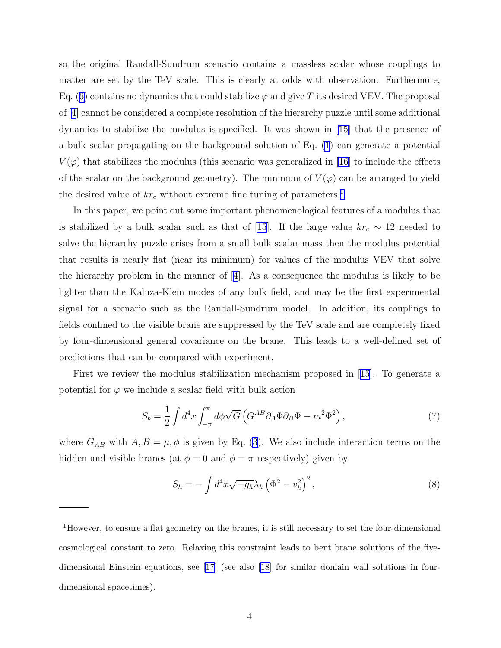so the original Randall-Sundrum scenario contains a massless scalar whose couplings to matter are set by the TeV scale. This is clearly at odds with observation. Furthermore, Eq. ([6\)](#page-2-0) contains no dynamics that could stabilize  $\varphi$  and give T its desired VEV. The proposal of [\[4](#page-8-0)] cannot be considered a complete resolution of the hierarchy puzzle until some additional dynamics to stabilize the modulus is specified. It was shown in[[15\]](#page-8-0) that the presence of a bulk scalar propagating on the background solution of Eq. [\(1](#page-1-0)) can generate a potential  $V(\varphi)$  that stabilizes the modulus (this scenario was generalized in [\[16](#page-8-0)] to include the effects of the scalar on the background geometry). The minimum of  $V(\varphi)$  can be arranged to yield the desired value of  $kr_c$  without extreme fine tuning of parameters.<sup>1</sup>

In this paper, we point out some important phenomenological features of a modulus that is stabilized by a bulk scalar such as that of [\[15](#page-8-0)]. If the large value  $kr_c \sim 12$  needed to solve the hierarchy puzzle arises from a small bulk scalar mass then the modulus potential that results is nearly flat (near its minimum) for values of the modulus VEV that solve the hierarchy problem in the manner of  $[4]$ . As a consequence the modulus is likely to be lighter than the Kaluza-Klein modes of any bulk field, and may be the first experimental signal for a scenario such as the Randall-Sundrum model. In addition, its couplings to fields confined to the visible brane are suppressed by the TeV scale and are completely fixed by four-dimensional general covariance on the brane. This leads to a well-defined set of predictions that can be compared with experiment.

First we review the modulus stabilization mechanism proposed in[[15](#page-8-0)]. To generate a potential for  $\varphi$  we include a scalar field with bulk action

$$
S_b = \frac{1}{2} \int d^4x \int_{-\pi}^{\pi} d\phi \sqrt{G} \left( G^{AB} \partial_A \Phi \partial_B \Phi - m^2 \Phi^2 \right), \tag{7}
$$

where  $G_{AB}$  with  $A, B = \mu, \phi$  is given by Eq. [\(3](#page-2-0)). We also include interaction terms on the hidden and visible branes (at  $\phi = 0$  and  $\phi = \pi$  respectively) given by

$$
S_h = -\int d^4x \sqrt{-g_h} \lambda_h \left(\Phi^2 - v_h^2\right)^2,\tag{8}
$$

<sup>1</sup>However, to ensure a flat geometry on the branes, it is still necessary to set the four-dimensional cosmological constant to zero. Relaxing this constraint leads to bent brane solutions of the fivedimensional Einstein equations, see [\[17](#page-8-0)] (see also[[18\]](#page-8-0) for similar domain wall solutions in fourdimensional spacetimes).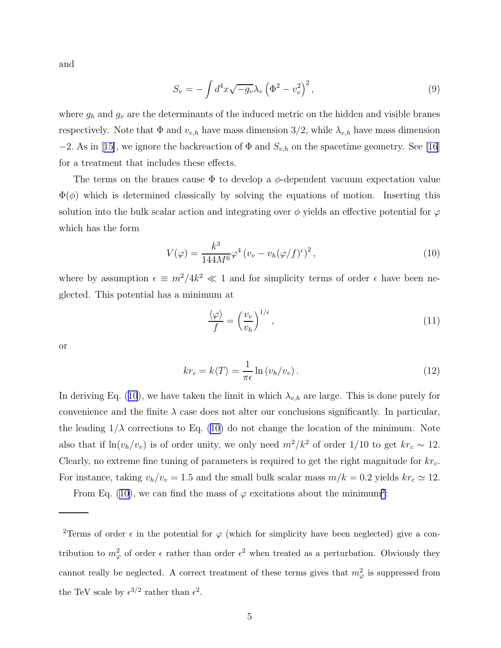and

$$
S_v = -\int d^4x \sqrt{-g_v} \lambda_v \left(\Phi^2 - v_v^2\right)^2,\tag{9}
$$

where  $g_h$  and  $g_v$  are the determinants of the induced metric on the hidden and visible branes respectively. Note that  $\Phi$  and  $v_{v,h}$  have mass dimension 3/2, while  $\lambda_{v,h}$  have mass dimension  $-2$ .As in [[15\]](#page-8-0), we ignore the backreaction of  $\Phi$  and  $S_{v,h}$  on the spacetime geometry. See [\[16](#page-8-0)] for a treatment that includes these effects.

The terms on the branes cause  $\Phi$  to develop a  $\phi$ -dependent vacuum expectation value  $\Phi(\phi)$  which is determined classically by solving the equations of motion. Inserting this solution into the bulk scalar action and integrating over  $\phi$  yields an effective potential for  $\varphi$ which has the form

$$
V(\varphi) = \frac{k^3}{144M^6} \varphi^4 \left( v_v - v_h(\varphi/f)^{\epsilon} \right)^2, \tag{10}
$$

where by assumption  $\epsilon \equiv m^2/4k^2 \ll 1$  and for simplicity terms of order  $\epsilon$  have been neglected. This potential has a minimum at

$$
\frac{\langle \varphi \rangle}{f} = \left(\frac{v_v}{v_h}\right)^{1/\epsilon},\tag{11}
$$

or

$$
kr_c = k\langle T \rangle = \frac{1}{\pi \epsilon} \ln \left( v_h / v_v \right). \tag{12}
$$

In deriving Eq. (10), we have taken the limit in which  $\lambda_{v,h}$  are large. This is done purely for convenience and the finite  $\lambda$  case does not alter our conclusions significantly. In particular, the leading  $1/\lambda$  corrections to Eq. (10) do not change the location of the minimum. Note also that if  $\ln(v_h/v_v)$  is of order unity, we only need  $m^2/k^2$  of order 1/10 to get  $kr_c \sim 12$ . Clearly, no extreme fine tuning of parameters is required to get the right magnitude for  $kr_c$ . For instance, taking  $v_h/v_v = 1.5$  and the small bulk scalar mass  $m/k = 0.2$  yields  $kr_c \approx 12$ .

From Eq. (10), we can find the mass of  $\varphi$  excitations about the minimum<sup>2</sup>:

<sup>&</sup>lt;sup>2</sup>Terms of order  $\epsilon$  in the potential for  $\varphi$  (which for simplicity have been neglected) give a contribution to  $m_{\varphi}^2$  of order  $\epsilon$  rather than order  $\epsilon^2$  when treated as a perturbation. Obviously they cannot really be neglected. A correct treatment of these terms gives that  $m_{\varphi}^2$  is suppressed from the TeV scale by  $\epsilon^{3/2}$  rather than  $\epsilon^2$ .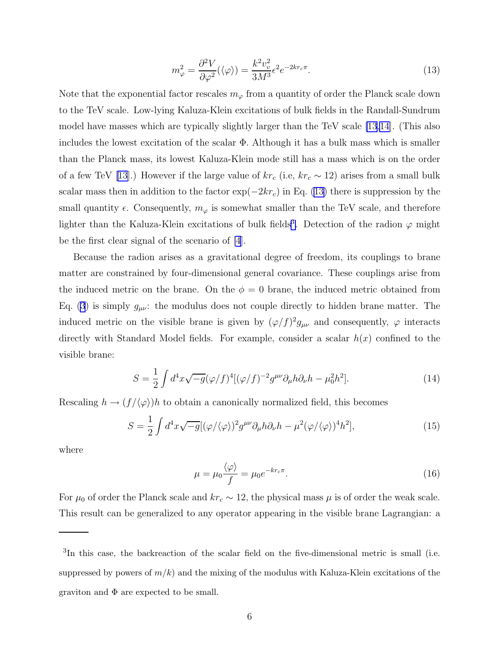$$
m_{\varphi}^{2} = \frac{\partial^{2} V}{\partial \varphi^{2}} (\langle \varphi \rangle) = \frac{k^{2} v_{v}^{2}}{3M^{3}} \epsilon^{2} e^{-2kr_{c}\pi}.
$$
 (13)

Note that the exponential factor rescales  $m_{\varphi}$  from a quantity of order the Planck scale down to the TeV scale. Low-lying Kaluza-Klein excitations of bulk fields in the Randall-Sundrum model have masses which are typically slightly larger than the TeV scale [\[13,14](#page-8-0)]. (This also includes the lowest excitation of the scalar  $\Phi$ . Although it has a bulk mass which is smaller than the Planck mass, its lowest Kaluza-Klein mode still has a mass which is on the order of a few TeV [\[13](#page-8-0)].) However if the large value of  $kr_c$  (i.e,  $kr_c \sim 12$ ) arises from a small bulk scalar mass then in addition to the factor  $\exp(-2kr_c)$  in Eq. (13) there is suppression by the small quantity  $\epsilon$ . Consequently,  $m_{\varphi}$  is somewhat smaller than the TeV scale, and therefore lighter than the Kaluza-Klein excitations of bulk fields<sup>3</sup>. Detection of the radion  $\varphi$  might be the first clear signal of the scenario of [\[4](#page-8-0)].

Because the radion arises as a gravitational degree of freedom, its couplings to brane matter are constrained by four-dimensional general covariance. These couplings arise from the induced metric on the brane. On the  $\phi = 0$  brane, the induced metric obtained from Eq. [\(3](#page-2-0)) is simply  $g_{\mu\nu}$ : the modulus does not couple directly to hidden brane matter. The induced metric on the visible brane is given by  $(\varphi/f)^2 g_{\mu\nu}$  and consequently,  $\varphi$  interacts directly with Standard Model fields. For example, consider a scalar  $h(x)$  confined to the visible brane:

$$
S = \frac{1}{2} \int d^4x \sqrt{-g} (\varphi/f)^4 [(\varphi/f)^{-2} g^{\mu\nu} \partial_\mu h \partial_\nu h - \mu_0^2 h^2]. \tag{14}
$$

Rescaling  $h \to (f/\langle \varphi \rangle)h$  to obtain a canonically normalized field, this becomes

$$
S = \frac{1}{2} \int d^4x \sqrt{-g} [(\varphi/\langle \varphi \rangle)^2 g^{\mu\nu} \partial_\mu h \partial_\nu h - \mu^2 (\varphi/\langle \varphi \rangle)^4 h^2], \tag{15}
$$

where

$$
\mu = \mu_0 \frac{\langle \varphi \rangle}{f} = \mu_0 e^{-kr_c \pi}.
$$
\n(16)

For  $\mu_0$  of order the Planck scale and  $kr_c \sim 12$ , the physical mass  $\mu$  is of order the weak scale. This result can be generalized to any operator appearing in the visible brane Lagrangian: a

<sup>&</sup>lt;sup>3</sup>In this case, the backreaction of the scalar field on the five-dimensional metric is small (i.e. suppressed by powers of  $m/k$ ) and the mixing of the modulus with Kaluza-Klein excitations of the graviton and  $\Phi$  are expected to be small.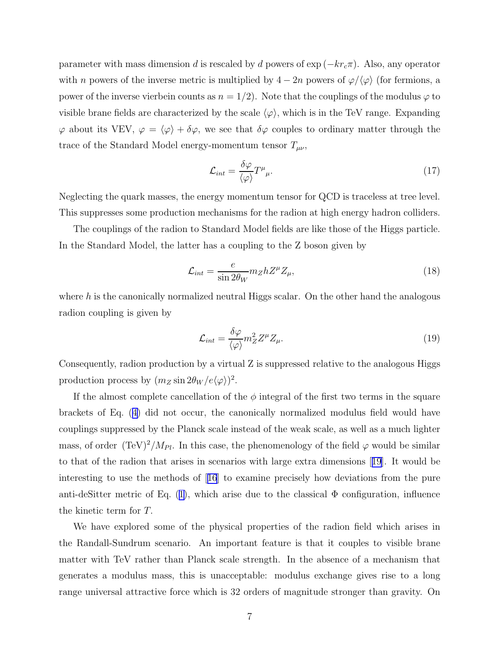parameter with mass dimension d is rescaled by d powers of  $\exp(-kr_c\pi)$ . Also, any operator with n powers of the inverse metric is multiplied by  $4 - 2n$  powers of  $\varphi / \langle \varphi \rangle$  (for fermions, a power of the inverse vierbein counts as  $n = 1/2$ . Note that the couplings of the modulus  $\varphi$  to visible brane fields are characterized by the scale  $\langle \varphi \rangle$ , which is in the TeV range. Expanding  $\varphi$  about its VEV,  $\varphi = \langle \varphi \rangle + \delta \varphi$ , we see that  $\delta \varphi$  couples to ordinary matter through the trace of the Standard Model energy-momentum tensor  $T_{\mu\nu}$ ,

$$
\mathcal{L}_{int} = \frac{\delta \varphi}{\langle \varphi \rangle} T^{\mu}{}_{\mu}.
$$
\n(17)

Neglecting the quark masses, the energy momentum tensor for QCD is traceless at tree level. This suppresses some production mechanisms for the radion at high energy hadron colliders.

The couplings of the radion to Standard Model fields are like those of the Higgs particle. In the Standard Model, the latter has a coupling to the Z boson given by

$$
\mathcal{L}_{int} = \frac{e}{\sin 2\theta_W} m_Z h Z^\mu Z_\mu,\tag{18}
$$

where  $h$  is the canonically normalized neutral Higgs scalar. On the other hand the analogous radion coupling is given by

$$
\mathcal{L}_{int} = \frac{\delta \varphi}{\langle \varphi \rangle} m_Z^2 Z^\mu Z_\mu.
$$
\n(19)

Consequently, radion production by a virtual Z is suppressed relative to the analogous Higgs production process by  $(m_Z \sin 2\theta_W / e \langle \varphi \rangle)^2$ .

If the almost complete cancellation of the  $\phi$  integral of the first two terms in the square brackets of Eq. ([4\)](#page-2-0) did not occur, the canonically normalized modulus field would have couplings suppressed by the Planck scale instead of the weak scale, as well as a much lighter mass, of order  $(Tev)^2/M_{Pl}$ . In this case, the phenomenology of the field  $\varphi$  would be similar to that of the radion that arises in scenarios with large extra dimensions[[19](#page-9-0)]. It would be interesting to use the methods of[[16](#page-8-0)] to examine precisely how deviations from the pure anti-deSitter metric of Eq.  $(1)$  $(1)$ , which arise due to the classical  $\Phi$  configuration, influence the kinetic term for T.

We have explored some of the physical properties of the radion field which arises in the Randall-Sundrum scenario. An important feature is that it couples to visible brane matter with TeV rather than Planck scale strength. In the absence of a mechanism that generates a modulus mass, this is unacceptable: modulus exchange gives rise to a long range universal attractive force which is 32 orders of magnitude stronger than gravity. On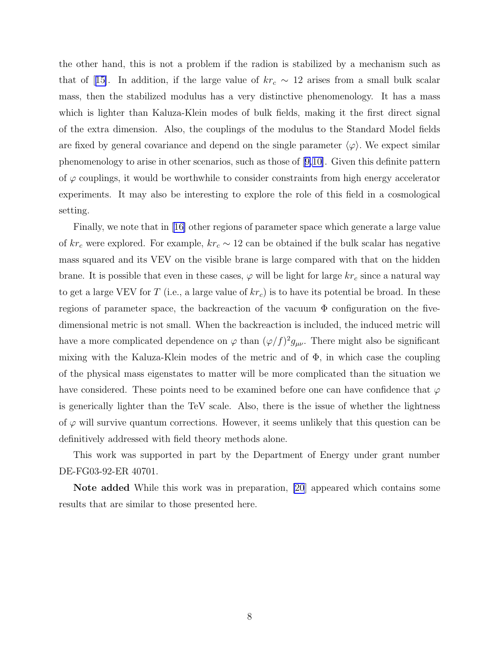the other hand, this is not a problem if the radion is stabilized by a mechanism such as thatof [[15\]](#page-8-0). In addition, if the large value of  $kr_c \sim 12$  arises from a small bulk scalar mass, then the stabilized modulus has a very distinctive phenomenology. It has a mass which is lighter than Kaluza-Klein modes of bulk fields, making it the first direct signal of the extra dimension. Also, the couplings of the modulus to the Standard Model fields are fixed by general covariance and depend on the single parameter  $\langle \varphi \rangle$ . We expect similar phenomenology to arise in other scenarios, such as those of[[9,10\]](#page-8-0). Given this definite pattern of  $\varphi$  couplings, it would be worthwhile to consider constraints from high energy accelerator experiments. It may also be interesting to explore the role of this field in a cosmological setting.

Finally, we note that in[[16\]](#page-8-0) other regions of parameter space which generate a large value of  $kr_c$  were explored. For example,  $kr_c \sim 12$  can be obtained if the bulk scalar has negative mass squared and its VEV on the visible brane is large compared with that on the hidden brane. It is possible that even in these cases,  $\varphi$  will be light for large  $kr_c$  since a natural way to get a large VEV for T (i.e., a large value of  $kr_c$ ) is to have its potential be broad. In these regions of parameter space, the backreaction of the vacuum  $\Phi$  configuration on the fivedimensional metric is not small. When the backreaction is included, the induced metric will have a more complicated dependence on  $\varphi$  than  $(\varphi/f)^2 g_{\mu\nu}$ . There might also be significant mixing with the Kaluza-Klein modes of the metric and of  $\Phi$ , in which case the coupling of the physical mass eigenstates to matter will be more complicated than the situation we have considered. These points need to be examined before one can have confidence that  $\varphi$ is generically lighter than the TeV scale. Also, there is the issue of whether the lightness of  $\varphi$  will survive quantum corrections. However, it seems unlikely that this question can be definitively addressed with field theory methods alone.

This work was supported in part by the Department of Energy under grant number DE-FG03-92-ER 40701.

Note added While this work was in preparation, [\[20](#page-9-0)] appeared which contains some results that are similar to those presented here.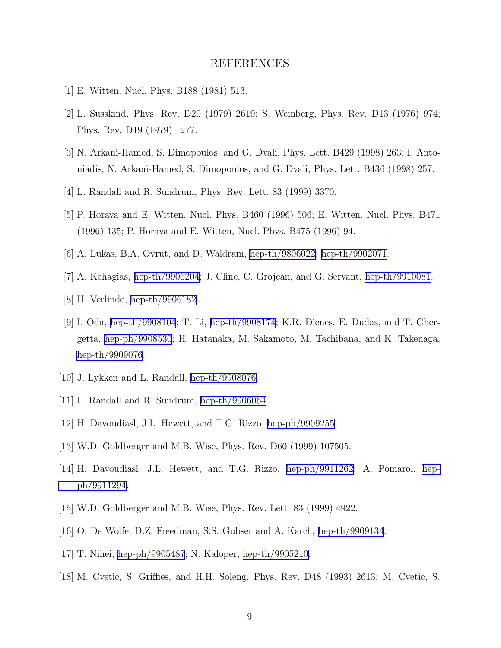## REFERENCES

- <span id="page-8-0"></span>[1] E. Witten, Nucl. Phys. B188 (1981) 513.
- [2] L. Susskind, Phys. Rev. D20 (1979) 2619; S. Weinberg, Phys. Rev. D13 (1976) 974; Phys. Rev. D19 (1979) 1277.
- [3] N. Arkani-Hamed, S. Dimopoulos, and G. Dvali, Phys. Lett. B429 (1998) 263; I. Antoniadis, N. Arkani-Hamed, S. Dimopoulos, and G. Dvali, Phys. Lett. B436 (1998) 257.
- [4] L. Randall and R. Sundrum, Phys. Rev. Lett. 83 (1999) 3370.
- [5] P. Horava and E. Witten, Nucl. Phys. B460 (1996) 506; E. Witten, Nucl. Phys. B471 (1996) 135; P. Horava and E. Witten, Nucl. Phys. B475 (1996) 94.
- [6] A. Lukas, B.A. Ovrut, and D. Waldram, [hep-th/9806022;](http://arXiv.org/abs/hep-th/9806022) [hep-th/9902071.](http://arXiv.org/abs/hep-th/9902071)
- [7] A. Kehagias, [hep-th/9906204;](http://arXiv.org/abs/hep-th/9906204) J. Cline, C. Grojean, and G. Servant, [hep-th/9910081.](http://arXiv.org/abs/hep-th/9910081)
- [8] H. Verlinde, [hep-th/9906182.](http://arXiv.org/abs/hep-th/9906182)
- [9] I. Oda, [hep-th/9908104](http://arXiv.org/abs/hep-th/9908104); T. Li, [hep-th/9908174](http://arXiv.org/abs/hep-th/9908174); K.R. Dienes, E. Dudas, and T. Ghergetta, [hep-ph/9908530](http://arXiv.org/abs/hep-ph/9908530); H. Hatanaka, M. Sakamoto, M. Tachibana, and K. Takenaga, [hep-th/9909076](http://arXiv.org/abs/hep-th/9909076).
- [10] J. Lykken and L. Randall, [hep-th/9908076.](http://arXiv.org/abs/hep-th/9908076)
- [11] L. Randall and R. Sundrum, [hep-th/9906064](http://arXiv.org/abs/hep-th/9906064).
- [12] H. Davoudiasl, J.L. Hewett, and T.G. Rizzo, [hep-ph/9909255.](http://arXiv.org/abs/hep-ph/9909255)
- [13] W.D. Goldberger and M.B. Wise, Phys. Rev. D60 (1999) 107505.
- [14] H. Davoudiasl, J.L. Hewett, and T.G. Rizzo, [hep-ph/9911262](http://arXiv.org/abs/hep-ph/9911262); A. Pomarol, [hep](http://arXiv.org/abs/hep-ph/9911294)[ph/9911294](http://arXiv.org/abs/hep-ph/9911294).
- [15] W.D. Goldberger and M.B. Wise, Phys. Rev. Lett. 83 (1999) 4922.
- [16] O. De Wolfe, D.Z. Freedman, S.S. Gubser and A. Karch, [hep-th/9909134](http://arXiv.org/abs/hep-th/9909134).
- [17] T. Nihei, [hep-ph/9905487](http://arXiv.org/abs/hep-ph/9905487); N. Kaloper, [hep-th/9905210.](http://arXiv.org/abs/hep-th/9905210)
- [18] M. Cvetic, S. Griffies, and H.H. Soleng, Phys. Rev. D48 (1993) 2613; M. Cvetic, S.